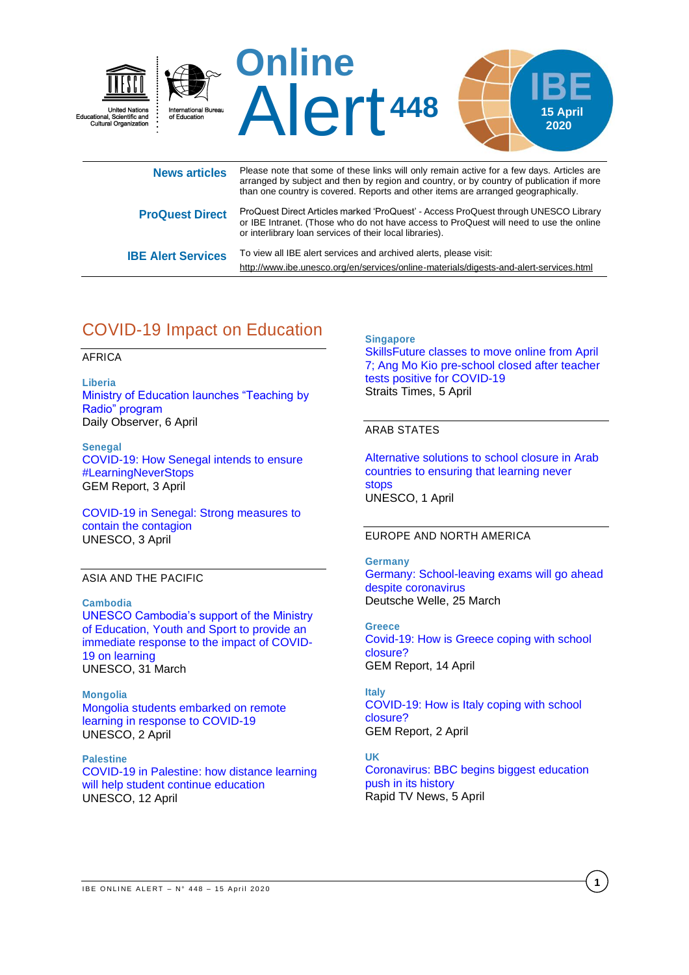

| <b>ProQuest Direct</b>    | ProQuest Direct Articles marked 'ProQuest' - Access ProQuest through UNESCO Library<br>or IBE Intranet. (Those who do not have access to ProQuest will need to use the online<br>or interlibrary loan services of their local libraries). |  |
|---------------------------|-------------------------------------------------------------------------------------------------------------------------------------------------------------------------------------------------------------------------------------------|--|
| <b>IBE Alert Services</b> | To view all IBE alert services and archived alerts, please visit:                                                                                                                                                                         |  |

# COVID-19 Impact on Education

### AFRICA

**Liberia**  [Ministry of Education launches "Teaching by](https://www.liberianobserver.com/news/moe-launches-teaching-by-radio-program/)  [Radio" program](https://www.liberianobserver.com/news/moe-launches-teaching-by-radio-program/) Daily Observer, 6 April

**Senegal** [COVID-19: How Senegal intends to ensure](https://gemreportunesco.wordpress.com/2020/04/03/covid-19-how-senegal-intends-to-ensure-learningneverstops/)  [#LearningNeverStops](https://gemreportunesco.wordpress.com/2020/04/03/covid-19-how-senegal-intends-to-ensure-learningneverstops/) GEM Report, 3 April

[COVID-19 in Senegal: Strong measures to](https://en.unesco.org/news/covid-19-senegal-strong-measures-contain-contagion)  [contain the contagion](https://en.unesco.org/news/covid-19-senegal-strong-measures-contain-contagion) UNESCO, 3 April

### ASIA AND THE PACIFIC

#### **Cambodia**

[UNESCO Cambodia's support of the Ministry](https://en.unesco.org/news/unesco-cambodias-support-ministry-education-youth-and-sport-provide-immediate-response-impact)  [of Education, Youth and Sport to provide an](https://en.unesco.org/news/unesco-cambodias-support-ministry-education-youth-and-sport-provide-immediate-response-impact)  [immediate response to the impact of COVID-](https://en.unesco.org/news/unesco-cambodias-support-ministry-education-youth-and-sport-provide-immediate-response-impact)[19 on learning](https://en.unesco.org/news/unesco-cambodias-support-ministry-education-youth-and-sport-provide-immediate-response-impact) UNESCO, 31 March

**Mongolia** [Mongolia students embarked on remote](https://en.unesco.org/news/mongolia-students-embarked-remote-learning-response-covid-19)  [learning in response to COVID-19](https://en.unesco.org/news/mongolia-students-embarked-remote-learning-response-covid-19) UNESCO, 2 April

**Palestine** [COVID-19 in Palestine: how distance learning](https://en.unesco.org/news/covid-19-palestine-how-distance-learning-will-help-student-continue-education)  [will help student continue education](https://en.unesco.org/news/covid-19-palestine-how-distance-learning-will-help-student-continue-education) UNESCO, 12 April

**Singapore**  [SkillsFuture classes to move online from April](https://www.straitstimes.com/singapore/skillsfuture-classes-to-move-online-from-april-7-amk-pre-school-closed-after-teacher-tests)  [7; Ang Mo Kio pre-school closed after teacher](https://www.straitstimes.com/singapore/skillsfuture-classes-to-move-online-from-april-7-amk-pre-school-closed-after-teacher-tests)  [tests positive for COVID-19](https://www.straitstimes.com/singapore/skillsfuture-classes-to-move-online-from-april-7-amk-pre-school-closed-after-teacher-tests) Straits Times, 5 April

### ARAB STATES

<http://www.ibe.unesco.org/en/services/online-materials/digests-and-alert-services.html>

[Alternative solutions to school closure in Arab](https://en.unesco.org/news/alternative-solutions-school-closure-arab-countries-ensuring-learning-never-stops)  [countries to ensuring that learning never](https://en.unesco.org/news/alternative-solutions-school-closure-arab-countries-ensuring-learning-never-stops)  [stops](https://en.unesco.org/news/alternative-solutions-school-closure-arab-countries-ensuring-learning-never-stops) UNESCO, 1 April

### EUROPE AND NORTH AMERICA

### **Germany**

[Germany: School-leaving exams will go ahead](https://www.dw.com/en/germany-school-leaving-exams-will-go-ahead-despite-coronavirus/a-52917576)  [despite coronavirus](https://www.dw.com/en/germany-school-leaving-exams-will-go-ahead-despite-coronavirus/a-52917576) Deutsche Welle, 25 March

**Greece** [Covid-19: How is Greece coping with school](https://gemreportunesco.wordpress.com/2020/04/14/covid-19-how-is-greece-coping-with-school-closure/)  [closure?](https://gemreportunesco.wordpress.com/2020/04/14/covid-19-how-is-greece-coping-with-school-closure/) GEM Report, 14 April

**Italy** [COVID-19: How is Italy coping with school](https://gemreportunesco.wordpress.com/2020/04/02/covid-19-how-is-italy-coping-with-school-closure/)  [closure?](https://gemreportunesco.wordpress.com/2020/04/02/covid-19-how-is-italy-coping-with-school-closure/) GEM Report, 2 April

**UK**

[Coronavirus: BBC begins biggest education](https://www.rapidtvnews.com/2020040558303/coronavirus-bbc-begins-biggest-education-push-in-its-history.html#axzz6InkEGfH7)  [push in its history](https://www.rapidtvnews.com/2020040558303/coronavirus-bbc-begins-biggest-education-push-in-its-history.html#axzz6InkEGfH7) Rapid TV News, 5 April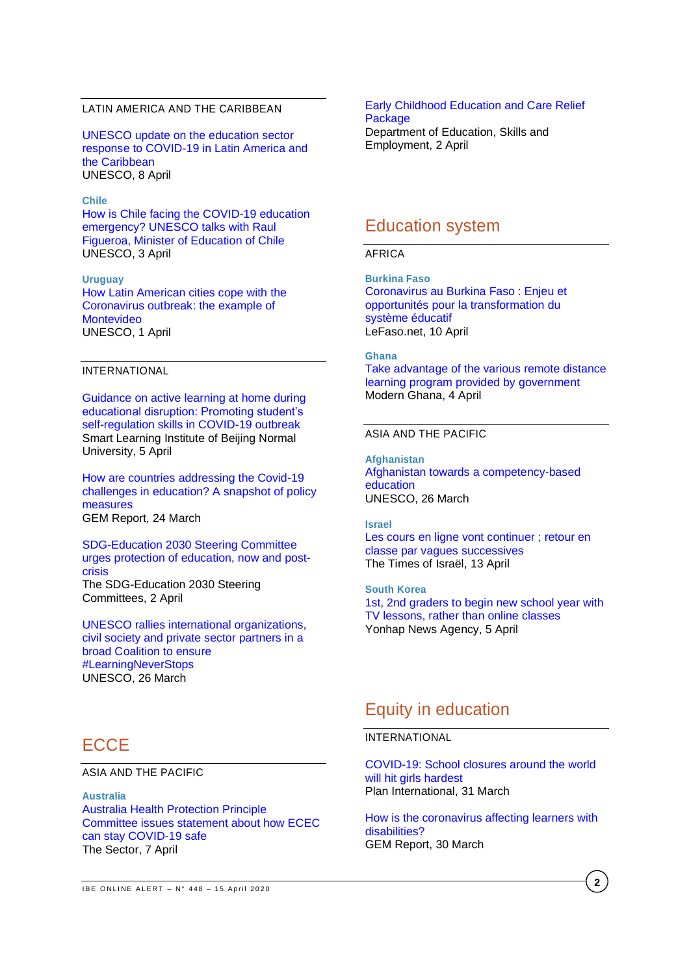### LATIN AMERICA AND THE CARIBBEAN

[UNESCO update on the education sector](https://en.unesco.org/news/unesco-update-education-sector-response-covid-19-latin-america-and-caribbean)  [response to COVID-19 in Latin America and](https://en.unesco.org/news/unesco-update-education-sector-response-covid-19-latin-america-and-caribbean)  [the Caribbean](https://en.unesco.org/news/unesco-update-education-sector-response-covid-19-latin-america-and-caribbean) UNESCO, 8 April

#### **Chile**

[How is Chile facing the COVID-19 education](https://en.unesco.org/fieldoffice/santiago/articles/minister-education-Chile-covid-19)  [emergency? UNESCO talks with Raul](https://en.unesco.org/fieldoffice/santiago/articles/minister-education-Chile-covid-19)  [Figueroa, Minister of Education of Chile](https://en.unesco.org/fieldoffice/santiago/articles/minister-education-Chile-covid-19) UNESCO, 3 April

### **Uruguay**

[How Latin American cities cope with the](https://en.unesco.org/news/how-latin-american-cities-cope-coronavirus-outbreak-example-montevideo)  [Coronavirus outbreak: the example of](https://en.unesco.org/news/how-latin-american-cities-cope-coronavirus-outbreak-example-montevideo)  [Montevideo](https://en.unesco.org/news/how-latin-american-cities-cope-coronavirus-outbreak-example-montevideo) UNESCO, 1 April

### INTERNATIONAL

[Guidance on active learning at home during](http://sli.bnu.edu.cn/en/News/Scientific_research/2020/0405/1096.html?1586070563=)  [educational disruption: Promoting student's](http://sli.bnu.edu.cn/en/News/Scientific_research/2020/0405/1096.html?1586070563=)  [self-regulation skills in COVID-19 outbreak](http://sli.bnu.edu.cn/en/News/Scientific_research/2020/0405/1096.html?1586070563=) Smart Learning Institute of Beijing Normal University, 5 April

[How are countries addressing the Covid-19](https://gemreportunesco.wordpress.com/2020/03/24/how-are-countries-addressing-the-covid-19-challenges-in-education-a-snapshot-of-policy-measures/)  [challenges in education? A snapshot of policy](https://gemreportunesco.wordpress.com/2020/03/24/how-are-countries-addressing-the-covid-19-challenges-in-education-a-snapshot-of-policy-measures/)  [measures](https://gemreportunesco.wordpress.com/2020/03/24/how-are-countries-addressing-the-covid-19-challenges-in-education-a-snapshot-of-policy-measures/) GEM Report, 24 March

[SDG-Education 2030 Steering Committee](https://sdg4education2030.org/sdg-education-2030-steering-committee-urges-protection-education-now-and-post-crisis)  [urges protection of education, now and post](https://sdg4education2030.org/sdg-education-2030-steering-committee-urges-protection-education-now-and-post-crisis)[crisis](https://sdg4education2030.org/sdg-education-2030-steering-committee-urges-protection-education-now-and-post-crisis) The SDG-Education 2030 Steering Committees, 2 April

[UNESCO rallies international organizations,](https://en.unesco.org/news/unesco-rallies-international-organizations-civil-society-and-private-sector-partners-broad)  civil society [and private sector partners in a](https://en.unesco.org/news/unesco-rallies-international-organizations-civil-society-and-private-sector-partners-broad)  [broad Coalition to ensure](https://en.unesco.org/news/unesco-rallies-international-organizations-civil-society-and-private-sector-partners-broad)  [#LearningNeverStops](https://en.unesco.org/news/unesco-rallies-international-organizations-civil-society-and-private-sector-partners-broad) UNESCO, 26 March

## **ECCE**

ASIA AND THE PACIFIC

**Australia** [Australia Health Protection Principle](https://thesector.com.au/2020/04/07/no-flu-shot-no-entry-ahppc-issues-statement-about-how-ecec-can-stay-covid-19-safe/)  [Committee issues statement about how ECEC](https://thesector.com.au/2020/04/07/no-flu-shot-no-entry-ahppc-issues-statement-about-how-ecec-can-stay-covid-19-safe/)  [can stay COVID-19 safe](https://thesector.com.au/2020/04/07/no-flu-shot-no-entry-ahppc-issues-statement-about-how-ecec-can-stay-covid-19-safe/) The Sector, 7 April

### [Early Childhood Education and Care Relief](https://ministers.dese.gov.au/morrison/early-childhood-education-and-care-relief-package)  **[Package](https://ministers.dese.gov.au/morrison/early-childhood-education-and-care-relief-package)**

Department of Education, Skills and Employment, 2 April

## Education system

### AFRICA

**Burkina Faso** [Coronavirus au Burkina Faso : Enjeu et](https://lefaso.net/spip.php?article96100)  [opportunités pour la transformation du](https://lefaso.net/spip.php?article96100)  [système éducatif](https://lefaso.net/spip.php?article96100) LeFaso.net, 10 April

**Ghana**

[Take advantage of the various remote distance](https://www.modernghana.com/news/993540/take-advantage-of-the-various-remote-distance-lear.html)  [learning program provided by government](https://www.modernghana.com/news/993540/take-advantage-of-the-various-remote-distance-lear.html) Modern Ghana, 4 April

### ASIA AND THE PACIFIC

**Afghanistan** [Afghanistan towards a competency-based](https://en.unesco.org/news/afghanistan-towards-competency-based-education-0)  [education](https://en.unesco.org/news/afghanistan-towards-competency-based-education-0) UNESCO, 26 March

**Israel**

[Les cours en ligne vont continuer ; retour en](https://fr.timesofisrael.com/les-cours-en-ligne-vont-continuer-retour-en-classe-par-vagues-successives/)  [classe par vagues successives](https://fr.timesofisrael.com/les-cours-en-ligne-vont-continuer-retour-en-classe-par-vagues-successives/) The Times of Israël, 13 April

**South Korea** [1st, 2nd graders to begin new school year with](https://en.yna.co.kr/view/AEN20200405002500315)  [TV lessons, rather than online classes](https://en.yna.co.kr/view/AEN20200405002500315) Yonhap News Agency, 5 April

## Equity in education

#### INTERNATIONAL

[COVID-19: School closures around the world](https://plan-international.org/blog/2020/03/covid-19-school-closures-hit-girls-hardest)  [will hit girls hardest](https://plan-international.org/blog/2020/03/covid-19-school-closures-hit-girls-hardest) Plan International, 31 March

[How is the coronavirus affecting learners with](https://gemreportunesco.wordpress.com/2020/03/30/how-is-the-coronavirus-affecting-learners-with-disabilities/)  [disabilities?](https://gemreportunesco.wordpress.com/2020/03/30/how-is-the-coronavirus-affecting-learners-with-disabilities/) GEM Report, 30 March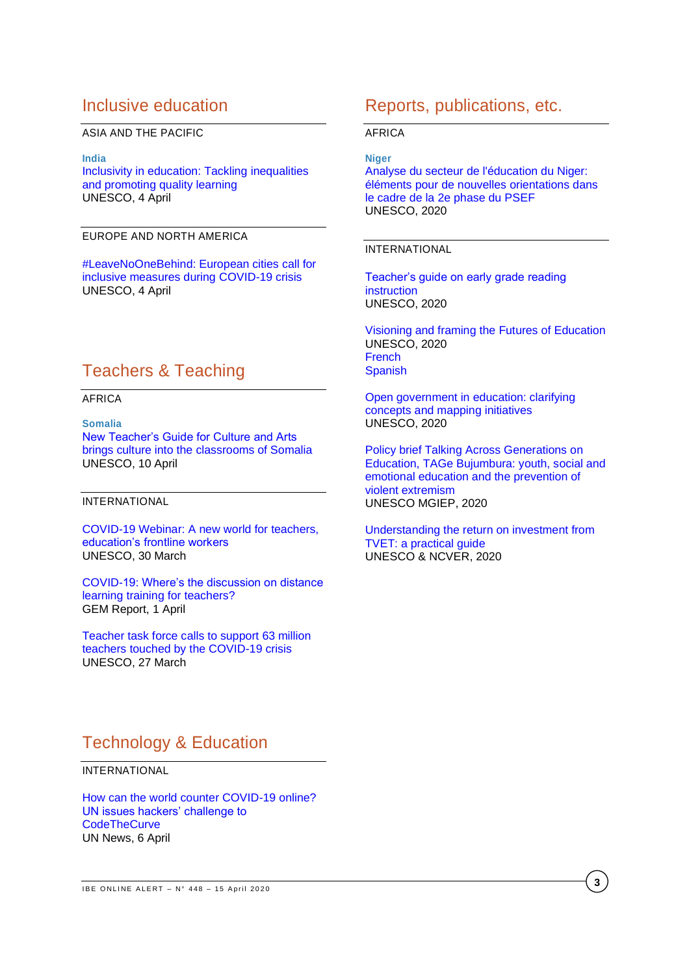## Inclusive education

### ASIA AND THE PACIFIC

**India** 

[Inclusivity in education: Tackling inequalities](https://en.unesco.org/news/inclusivity-education-tackling-inequalities-and-promoting-quality-learning)  [and promoting quality learning](https://en.unesco.org/news/inclusivity-education-tackling-inequalities-and-promoting-quality-learning) UNESCO, 4 April

### EUROPE AND NORTH AMERICA

[#LeaveNoOneBehind: European cities call for](https://en.unesco.org/news/leavenoonebehind-european-cities-call-inclusive-measures-during-covid-19-crisis)  [inclusive measures during COVID-19 crisis](https://en.unesco.org/news/leavenoonebehind-european-cities-call-inclusive-measures-during-covid-19-crisis) UNESCO, 4 April

## Teachers & Teaching

AFRICA

**Somalia** [New Teacher's Guide for Culture and Arts](https://en.unesco.org/news/new-teachers-guide-culture-and-arts-brings-culture-classrooms-somalia)  [brings culture into the classrooms of Somalia](https://en.unesco.org/news/new-teachers-guide-culture-and-arts-brings-culture-classrooms-somalia) UNESCO, 10 April

### INTERNATIONAL

[COVID-19 Webinar: A new world for teachers,](https://en.unesco.org/news/covid-19-webinar-new-world-teachers-educations-frontline-workers)  [education's frontline workers](https://en.unesco.org/news/covid-19-webinar-new-world-teachers-educations-frontline-workers) UNESCO, 30 March

[COVID-19: Where's the discussion on distance](https://gemreportunesco.wordpress.com/2020/04/01/covid-19-wheres-the-discussion-on-distance-learning-training-for-teachers/)  [learning training for teachers?](https://gemreportunesco.wordpress.com/2020/04/01/covid-19-wheres-the-discussion-on-distance-learning-training-for-teachers/) GEM Report, 1 April

[Teacher task force calls to support 63 million](https://en.unesco.org/news/teacher-task-force-calls-support-63-million-teachers-touched-covid-19-crisis)  [teachers touched by the COVID-19 crisis](https://en.unesco.org/news/teacher-task-force-calls-support-63-million-teachers-touched-covid-19-crisis) UNESCO, 27 March

## Reports, publications, etc.

### AFRICA

**Niger**

[Analyse du secteur de l'éducation du Niger:](https://unesdoc.unesco.org/ark:/48223/pf0000373174?posInSet=30&queryId=N-db414fc1-de89-45aa-92e9-18f26df320cc)  [éléments pour de nouvelles orientations dans](https://unesdoc.unesco.org/ark:/48223/pf0000373174?posInSet=30&queryId=N-db414fc1-de89-45aa-92e9-18f26df320cc)  [le cadre de la 2e phase du PSEF](https://unesdoc.unesco.org/ark:/48223/pf0000373174?posInSet=30&queryId=N-db414fc1-de89-45aa-92e9-18f26df320cc) UNESCO, 2020

### INTERNATIONAL

[Teacher's guide on early grade reading](https://unesdoc.unesco.org/ark:/48223/pf0000373170?posInSet=31&queryId=N-db414fc1-de89-45aa-92e9-18f26df320cc)  **[instruction](https://unesdoc.unesco.org/ark:/48223/pf0000373170?posInSet=31&queryId=N-db414fc1-de89-45aa-92e9-18f26df320cc)** UNESCO, 2020

[Visioning and framing the Futures of Education](https://unesdoc.unesco.org/ark:/48223/pf0000373208?posInSet=6&queryId=N-db414fc1-de89-45aa-92e9-18f26df320cc) UNESCO, 2020 [French](https://unesdoc.unesco.org/ark:/48223/pf0000373208_fre) **[Spanish](https://unesdoc.unesco.org/ark:/48223/pf0000373208_spa)** 

[Open government in education: clarifying](https://unesdoc.unesco.org/ark:/48223/pf0000373142?posInSet=9&queryId=N-d9c32be3-44ac-4bae-ac33-e4cda49ba4bb)  concepts and [mapping initiatives](https://unesdoc.unesco.org/ark:/48223/pf0000373142?posInSet=9&queryId=N-d9c32be3-44ac-4bae-ac33-e4cda49ba4bb) UNESCO, 2020

[Policy brief Talking Across Generations on](https://unesdoc.unesco.org/ark:/48223/pf0000373158?posInSet=2&queryId=N-d9c32be3-44ac-4bae-ac33-e4cda49ba4bb)  [Education, TAGe Bujumbura: youth, social and](https://unesdoc.unesco.org/ark:/48223/pf0000373158?posInSet=2&queryId=N-d9c32be3-44ac-4bae-ac33-e4cda49ba4bb)  [emotional education and the prevention of](https://unesdoc.unesco.org/ark:/48223/pf0000373158?posInSet=2&queryId=N-d9c32be3-44ac-4bae-ac33-e4cda49ba4bb)  [violent extremism](https://unesdoc.unesco.org/ark:/48223/pf0000373158?posInSet=2&queryId=N-d9c32be3-44ac-4bae-ac33-e4cda49ba4bb) UNESCO MGIEP, 2020

[Understanding the return on investment from](https://unesdoc.unesco.org/ark:/48223/pf0000373122?posInSet=21&queryId=N-d9c32be3-44ac-4bae-ac33-e4cda49ba4bb)  [TVET: a practical guide](https://unesdoc.unesco.org/ark:/48223/pf0000373122?posInSet=21&queryId=N-d9c32be3-44ac-4bae-ac33-e4cda49ba4bb) UNESCO & NCVER, 2020

## Technology & Education

INTERNATIONAL

[How can the world counter COVID-19 online?](https://news.un.org/en/story/2020/04/1061142)  [UN issues hackers' challenge to](https://news.un.org/en/story/2020/04/1061142)  **[CodeTheCurve](https://news.un.org/en/story/2020/04/1061142)** UN News, 6 April